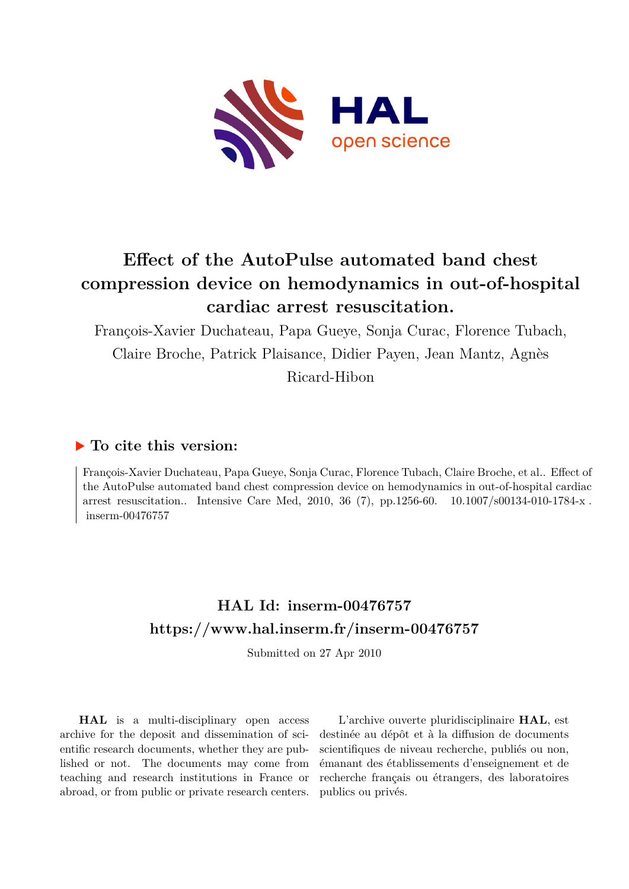

# **Effect of the AutoPulse automated band chest compression device on hemodynamics in out-of-hospital cardiac arrest resuscitation.**

François-Xavier Duchateau, Papa Gueye, Sonja Curac, Florence Tubach, Claire Broche, Patrick Plaisance, Didier Payen, Jean Mantz, Agnès Ricard-Hibon

## **To cite this version:**

François-Xavier Duchateau, Papa Gueye, Sonja Curac, Florence Tubach, Claire Broche, et al.. Effect of the AutoPulse automated band chest compression device on hemodynamics in out-of-hospital cardiac arrest resuscitation.. Intensive Care Med, 2010, 36 (7), pp.1256-60.  $10.1007/\text{s}00134\text{-}010\text{-}1784\text{-}x$ .  $inserm-00476757$ 

## **HAL Id: inserm-00476757 <https://www.hal.inserm.fr/inserm-00476757>**

Submitted on 27 Apr 2010

**HAL** is a multi-disciplinary open access archive for the deposit and dissemination of scientific research documents, whether they are published or not. The documents may come from teaching and research institutions in France or abroad, or from public or private research centers.

L'archive ouverte pluridisciplinaire **HAL**, est destinée au dépôt et à la diffusion de documents scientifiques de niveau recherche, publiés ou non, émanant des établissements d'enseignement et de recherche français ou étrangers, des laboratoires publics ou privés.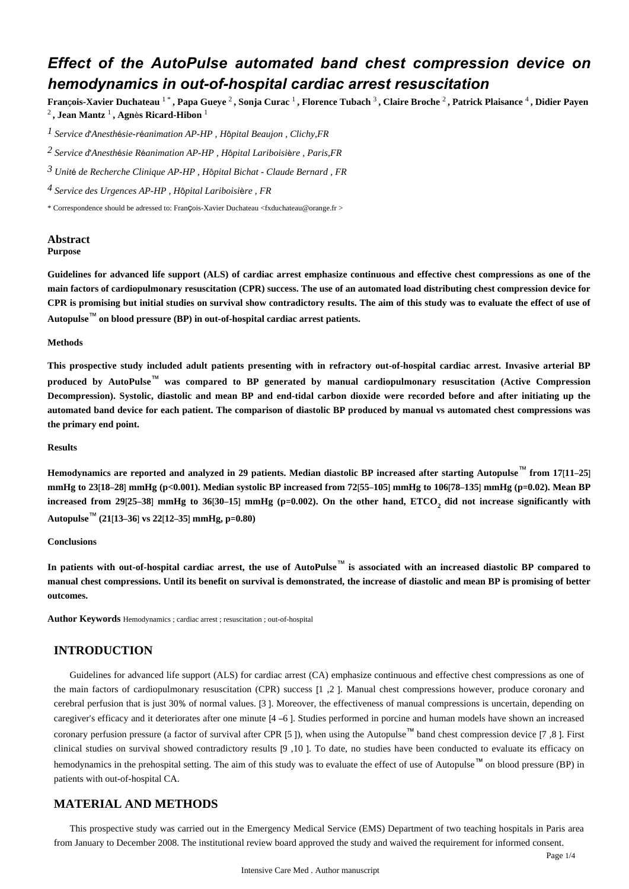## *Effect of the AutoPulse automated band chest compression device on hemodynamics in out-of-hospital cardiac arrest resuscitation*

**Fran**ç**ois-Xavier Duchateau** 1 \* **, Papa Gueye** <sup>2</sup> **, Sonja Curac** <sup>1</sup> **, Florence Tubach** <sup>3</sup> **, Claire Broche** <sup>2</sup> **, Patrick Plaisance** <sup>4</sup> **, Didier Payen**  2 **, Jean Mantz** <sup>1</sup> **, Agn**è**s Ricard-Hibon** <sup>1</sup>

*Service d Anesth sie-r animation 1*  ' é é *AP-HP , H*ô*pital Beaujon , Clichy,FR*

*Service d Anesth sie R animation 2*  ' é é *AP-HP , H*ô*pital Lariboisi*è*re , Paris,FR*

*Unit de Recherche Clinique 3* <sup>é</sup> *AP-HP , H*ô*pital Bichat - Claude Bernard , FR*

*Service des Urgences 4 AP-HP , H*ô*pital Lariboisi*è*re , FR*

\* Correspondence should be adressed to: François-Xavier Duchateau <fxduchateau@orange.fr >

## **Abstract**

**Purpose**

**Guidelines for advanced life support (ALS) of cardiac arrest emphasize continuous and effective chest compressions as one of the main factors of cardiopulmonary resuscitation (CPR) success. The use of an automated load distributing chest compression device for CPR is promising but initial studies on survival show contradictory results. The aim of this study was to evaluate the effect of use of Autopulse**™ **on blood pressure (BP) in out-of-hospital cardiac arrest patients.**

#### **Methods**

**This prospective study included adult patients presenting with in refractory out-of-hospital cardiac arrest. Invasive arterial BP produced by AutoPulse**™ **was compared to BP generated by manual cardiopulmonary resuscitation (Active Compression Decompression). Systolic, diastolic and mean BP and end-tidal carbon dioxide were recorded before and after initiating up the automated band device for each patient. The comparison of diastolic BP produced by manual vs automated chest compressions was the primary end point.**

### **Results**

**Hemodynamics are reported and analyzed in 29 patients. Median diastolic BP increased after starting Autopulse**™ **from 17**[**11**–**25**] **mmHg to 23**[**18**–**28**] **mmHg (p<0.001). Median systolic BP increased from 72**[**55**–**105**] **mmHg to 106**[**78**–**135**] **mmHg (p**=**0.02). Mean BP**  $i$  increased from 29 $[25-38]$  mmHg to 36 $[30-15]$  mmHg (p=0.002). On the other hand, ETCO<sub>2</sub> did not increase significantly with **Autopulse**™ **(21**[**13**–**36**] **vs 22**[**12**–**35**] **mmHg, p**=**0.80)**

#### **Conclusions**

**In patients with out-of-hospital cardiac arrest, the use of AutoPulse**™ **is associated with an increased diastolic BP compared to manual chest compressions. Until its benefit on survival is demonstrated, the increase of diastolic and mean BP is promising of better outcomes.**

**Author Keywords** Hemodynamics ; cardiac arrest ; resuscitation ; out-of-hospital

## **INTRODUCTION**

Guidelines for advanced life support (ALS) for cardiac arrest (CA) emphasize continuous and effective chest compressions as one of the main factors of cardiopulmonary resuscitation (CPR) success [1 ,2 ]. Manual chest compressions however, produce coronary and cerebral perfusion that is just 30% of normal values. [3 ]. Moreover, the effectiveness of manual compressions is uncertain, depending on caregiver's efficacy and it deteriorates after one minute [4 –6 ]. Studies performed in porcine and human models have shown an increased coronary perfusion pressure (a factor of survival after CPR [5 ]), when using the Autopulse™ band chest compression device [7 ,8 ]. First clinical studies on survival showed contradictory results [9 ,10 ]. To date, no studies have been conducted to evaluate its efficacy on hemodynamics in the prehospital setting. The aim of this study was to evaluate the effect of use of Autopulse™ on blood pressure (BP) in patients with out-of-hospital CA.

### **MATERIAL AND METHODS**

This prospective study was carried out in the Emergency Medical Service (EMS) Department of two teaching hospitals in Paris area from January to December 2008. The institutional review board approved the study and waived the requirement for informed consent.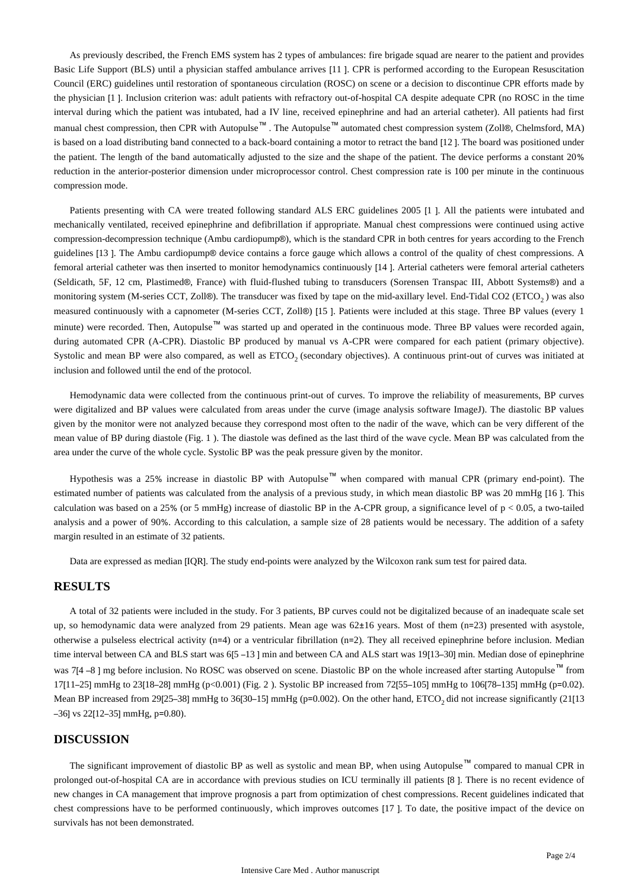As previously described, the French EMS system has 2 types of ambulances: fire brigade squad are nearer to the patient and provides Basic Life Support (BLS) until a physician staffed ambulance arrives [11 ]. CPR is performed according to the European Resuscitation Council (ERC) guidelines until restoration of spontaneous circulation (ROSC) on scene or a decision to discontinue CPR efforts made by the physician [1 ]. Inclusion criterion was: adult patients with refractory out-of-hospital CA despite adequate CPR (no ROSC in the time interval during which the patient was intubated, had a IV line, received epinephrine and had an arterial catheter). All patients had first manual chest compression, then CPR with Autopulse™. The Autopulse™ automated chest compression system (Zoll®, Chelmsford, MA) is based on a load distributing band connected to a back-board containing a motor to retract the band [12 ]. The board was positioned under the patient. The length of the band automatically adjusted to the size and the shape of the patient. The device performs a constant 20% reduction in the anterior-posterior dimension under microprocessor control. Chest compression rate is 100 per minute in the continuous compression mode.

Patients presenting with CA were treated following standard ALS ERC guidelines 2005 [1 ]. All the patients were intubated and mechanically ventilated, received epinephrine and defibrillation if appropriate. Manual chest compressions were continued using active compression-decompression technique (Ambu cardiopump®), which is the standard CPR in both centres for years according to the French guidelines [13 ]. The Ambu cardiopump® device contains a force gauge which allows a control of the quality of chest compressions. A femoral arterial catheter was then inserted to monitor hemodynamics continuously [14 ]. Arterial catheters were femoral arterial catheters (Seldicath, 5F, 12 cm, Plastimed®, France) with fluid-flushed tubing to transducers (Sorensen Transpac III, Abbott Systems®) and a monitoring system (M-series CCT, Zoll®). The transducer was fixed by tape on the mid-axillary level. End-Tidal CO2 (ETCO,) was also measured continuously with a capnometer (M-series CCT, Zoll®) [15 ]. Patients were included at this stage. Three BP values (every 1 minute) were recorded. Then, Autopulse™ was started up and operated in the continuous mode. Three BP values were recorded again, during automated CPR (A-CPR). Diastolic BP produced by manual vs A-CPR were compared for each patient (primary objective). Systolic and mean BP were also compared, as well as ETCO<sub>2</sub> (secondary objectives). A continuous print-out of curves was initiated at inclusion and followed until the end of the protocol.

Hemodynamic data were collected from the continuous print-out of curves. To improve the reliability of measurements, BP curves were digitalized and BP values were calculated from areas under the curve (image analysis software ImageJ). The diastolic BP values given by the monitor were not analyzed because they correspond most often to the nadir of the wave, which can be very different of the mean value of BP during diastole (Fig. 1 ). The diastole was defined as the last third of the wave cycle. Mean BP was calculated from the area under the curve of the whole cycle. Systolic BP was the peak pressure given by the monitor.

Hypothesis was a 25% increase in diastolic BP with Autopulse™ when compared with manual CPR (primary end-point). The estimated number of patients was calculated from the analysis of a previous study, in which mean diastolic BP was 20 mmHg [16 ]. This calculation was based on a 25% (or 5 mmHg) increase of diastolic BP in the A-CPR group, a significance level of  $p < 0.05$ , a two-tailed analysis and a power of 90%. According to this calculation, a sample size of 28 patients would be necessary. The addition of a safety margin resulted in an estimate of 32 patients.

Data are expressed as median [IQR]. The study end-points were analyzed by the Wilcoxon rank sum test for paired data.

### **RESULTS**

A total of 32 patients were included in the study. For 3 patients, BP curves could not be digitalized because of an inadequate scale set up, so hemodynamic data were analyzed from 29 patients. Mean age was 62±16 years. Most of them (n=23) presented with asystole, otherwise a pulseless electrical activity (n=4) or a ventricular fibrillation (n=2). They all received epinephrine before inclusion. Median time interval between CA and BLS start was 6[5 –13] min and between CA and ALS start was 19[13–30] min. Median dose of epinephrine was 7[4 –8 ] mg before inclusion. No ROSC was observed on scene. Diastolic BP on the whole increased after starting Autopulse<sup>™</sup> from 17[11–25] mmHg to 23[18–28] mmHg (p<0.001) (Fig. 2 ). Systolic BP increased from 72[55–105] mmHg to 106[78–135] mmHg (p=0.02). Mean BP increased from 29 $[25-38]$  mmHg to 36 $[30-15]$  mmHg (p=0.002). On the other hand, ETCO, did not increase significantly (21 $[113]$  $-36$ ] vs 22[12–35] mmHg, p=0.80).

## **DISCUSSION**

The significant improvement of diastolic BP as well as systolic and mean BP, when using Autopulse™ compared to manual CPR in prolonged out-of-hospital CA are in accordance with previous studies on ICU terminally ill patients [8 ]. There is no recent evidence of new changes in CA management that improve prognosis a part from optimization of chest compressions. Recent guidelines indicated that chest compressions have to be performed continuously, which improves outcomes [17 ]. To date, the positive impact of the device on survivals has not been demonstrated.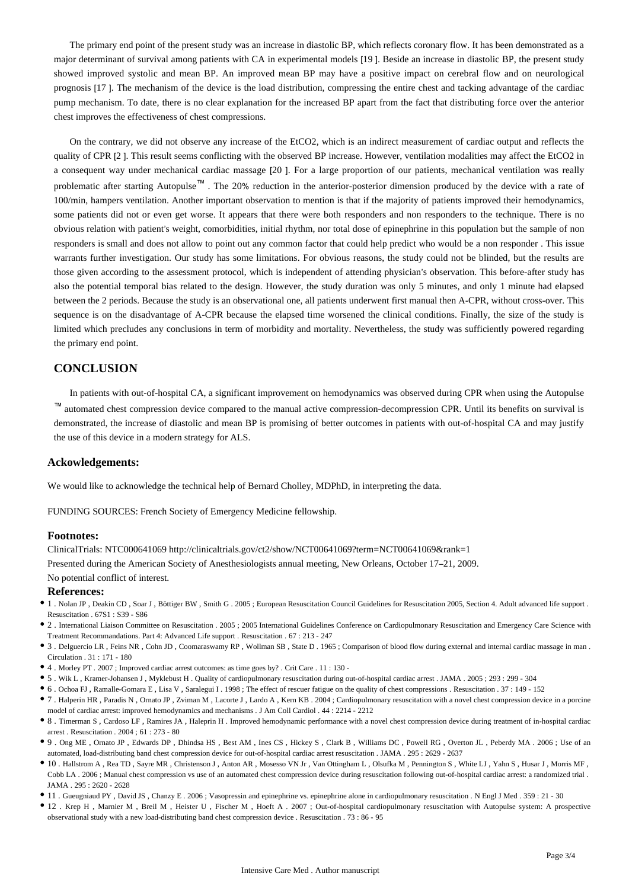The primary end point of the present study was an increase in diastolic BP, which reflects coronary flow. It has been demonstrated as a major determinant of survival among patients with CA in experimental models [19 ]. Beside an increase in diastolic BP, the present study showed improved systolic and mean BP. An improved mean BP may have a positive impact on cerebral flow and on neurological prognosis [17 ]. The mechanism of the device is the load distribution, compressing the entire chest and tacking advantage of the cardiac pump mechanism. To date, there is no clear explanation for the increased BP apart from the fact that distributing force over the anterior chest improves the effectiveness of chest compressions.

On the contrary, we did not observe any increase of the EtCO2, which is an indirect measurement of cardiac output and reflects the quality of CPR [2 ]. This result seems conflicting with the observed BP increase. However, ventilation modalities may affect the EtCO2 in a consequent way under mechanical cardiac massage [20 ]. For a large proportion of our patients, mechanical ventilation was really problematic after starting Autopulse™ . The 20% reduction in the anterior-posterior dimension produced by the device with a rate of 100/min, hampers ventilation. Another important observation to mention is that if the majority of patients improved their hemodynamics, some patients did not or even get worse. It appears that there were both responders and non responders to the technique. There is no obvious relation with patient's weight, comorbidities, initial rhythm, nor total dose of epinephrine in this population but the sample of non responders is small and does not allow to point out any common factor that could help predict who would be a non responder . This issue warrants further investigation. Our study has some limitations. For obvious reasons, the study could not be blinded, but the results are those given according to the assessment protocol, which is independent of attending physician's observation. This before-after study has also the potential temporal bias related to the design. However, the study duration was only 5 minutes, and only 1 minute had elapsed between the 2 periods. Because the study is an observational one, all patients underwent first manual then A-CPR, without cross-over. This sequence is on the disadvantage of A-CPR because the elapsed time worsened the clinical conditions. Finally, the size of the study is limited which precludes any conclusions in term of morbidity and mortality. Nevertheless, the study was sufficiently powered regarding the primary end point.

## **CONCLUSION**

In patients with out-of-hospital CA, a significant improvement on hemodynamics was observed during CPR when using the Autopulse ™ automated chest compression device compared to the manual active compression-decompression CPR. Until its benefits on survival is demonstrated, the increase of diastolic and mean BP is promising of better outcomes in patients with out-of-hospital CA and may justify the use of this device in a modern strategy for ALS.

### **Ackowledgements:**

We would like to acknowledge the technical help of Bernard Cholley, MDPhD, in interpreting the data.

FUNDING SOURCES: French Society of Emergency Medicine fellowship.

#### **Footnotes:**

ClinicalTrials: NTC000641069 http://clinicaltrials.gov/ct2/show/NCT00641069?term=NCT00641069&rank=1

Presented during the American Society of Anesthesiologists annual meeting, New Orleans, October 17–21, 2009.

No potential conflict of interest.

#### **References:**

- 1 . Nolan JP , Deakin CD , Soar J , Böttiger BW , Smith G . 2005 ; European Resuscitation Council Guidelines for Resuscitation 2005, Section 4. Adult advanced life support . Resuscitation . 67S1 : S39 - S86
- $\bullet$  2. International Liaison Committee on Resuscitation . 2005 ; 2005 International Guidelines Conference on Cardiopulmonary Resuscitation and Emergency Care Science with Treatment Recommandations. Part 4: Advanced Life support . Resuscitation . 67 : 213 - 247
- 3 . Delguercio LR , Feins NR , Cohn JD , Coomaraswamy RP , Wollman SB , State D . 1965 ; Comparison of blood flow during external and internal cardiac massage in man . Circulation . 31 : 171 - 180
- 4 . Morley PT . 2007 ; Improved cardiac arrest outcomes: as time goes by? . Crit Care . 11 : 130 -
- 5 . Wik L , Kramer-Johansen J , Myklebust H . Quality of cardiopulmonary resuscitation during out-of-hospital cardiac arrest . JAMA . 2005 ; 293 : 299 304
- 6 . Ochoa FJ , Ramalle-Gomara E , Lisa V , Saralegui I . 1998 ; The effect of rescuer fatigue on the quality of chest compressions . Resuscitation . 37 : 149 152
- 7 . Halperin HR , Paradis N , Ornato JP , Zviman M , Lacorte J , Lardo A , Kern KB . 2004 ; Cardiopulmonary resuscitation with a novel chest compression device in a porcine model of cardiac arrest: improved hemodynamics and mechanisms . J Am Coll Cardiol . 44 : 2214 - 2212
- 8 . Timerman S , Cardoso LF , Ramires JA , Haleprin H . Improved hemodynamic performance with a novel chest compression device during treatment of in-hospital cardiac arrest . Resuscitation . 2004 ; 61 : 273 - 80
- 9 . Ong ME , Ornato JP , Edwards DP , Dhindsa HS , Best AM , Ines CS , Hickey S , Clark B , Williams DC , Powell RG , Overton JL , Peberdy MA . 2006 ; Use of an automated, load-distributing band chest compression device for out-of-hospital cardiac arrest resuscitation . JAMA . 295 : 2629 - 2637
- 10 . Hallstrom A , Rea TD , Sayre MR , Christenson J , Anton AR , Mosesso VN Jr , Van Ottingham L , Olsufka M , Pennington S , White LJ , Yahn S , Husar J , Morris MF , Cobb LA . 2006 ; Manual chest compression vs use of an automated chest compression device during resuscitation following out-of-hospital cardiac arrest: a randomized trial . JAMA  $295 \cdot 2620 - 2628$
- 11 . Gueugniaud PY , David JS , Chanzy E . 2006 ; Vasopressin and epinephrine vs. epinephrine alone in cardiopulmonary resuscitation . N Engl J Med . 359 : 21 30
- 12 . Krep H , Marnier M , Breil M , Heister U , Fischer M , Hoeft A . 2007 ; Out-of-hospital cardiopulmonary resuscitation with Autopulse system: A prospective observational study with a new load-distributing band chest compression device . Resuscitation . 73 : 86 - 95